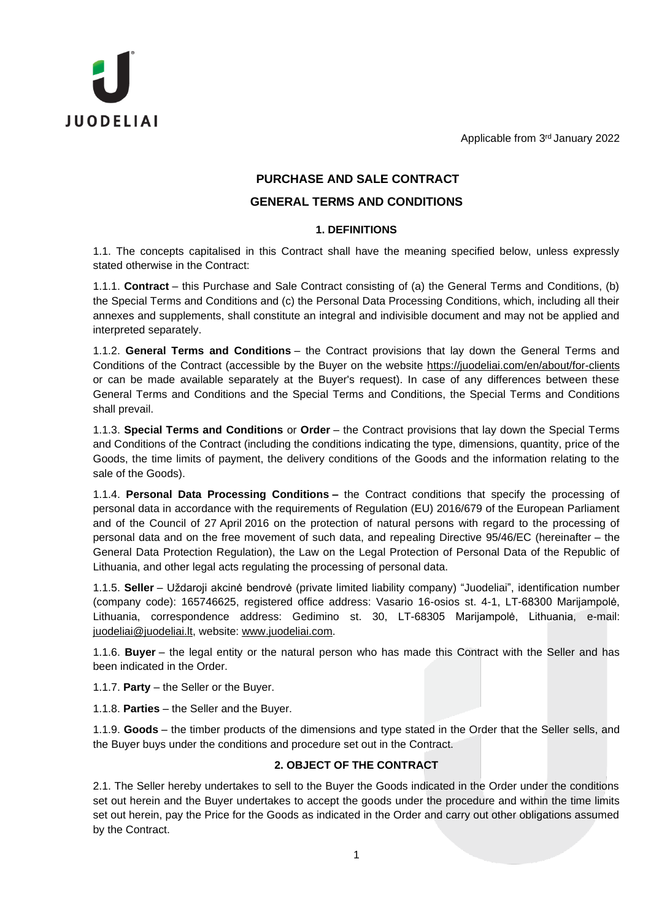Applicable from 3 rd January 2022



# **PURCHASE AND SALE CONTRACT**

# **GENERAL TERMS AND CONDITIONS**

## **1. DEFINITIONS**

1.1. The concepts capitalised in this Contract shall have the meaning specified below, unless expressly stated otherwise in the Contract:

1.1.1. **Contract** – this Purchase and Sale Contract consisting of (a) the General Terms and Conditions, (b) the Special Terms and Conditions and (c) the Personal Data Processing Conditions, which, including all their annexes and supplements, shall constitute an integral and indivisible document and may not be applied and interpreted separately.

1.1.2. **General Terms and Conditions** – the Contract provisions that lay down the General Terms and Conditions of the Contract (accessible by the Buyer on the website <https://juodeliai.com/en/about/for-clients> or can be made available separately at the Buyer's request). In case of any differences between these General Terms and Conditions and the Special Terms and Conditions, the Special Terms and Conditions shall prevail.

1.1.3. **Special Terms and Conditions** or **Order** – the Contract provisions that lay down the Special Terms and Conditions of the Contract (including the conditions indicating the type, dimensions, quantity, price of the Goods, the time limits of payment, the delivery conditions of the Goods and the information relating to the sale of the Goods).

1.1.4. **Personal Data Processing Conditions –** the Contract conditions that specify the processing of personal data in accordance with the requirements of Regulation (EU) 2016/679 of the European Parliament and of the Council of 27 April 2016 on the protection of natural persons with regard to the processing of personal data and on the free movement of such data, and repealing Directive 95/46/EC (hereinafter – the General Data Protection Regulation), the Law on the Legal Protection of Personal Data of the Republic of Lithuania, and other legal acts regulating the processing of personal data.

1.1.5. **Seller** – Uždaroji akcinė bendrovė (private limited liability company) "Juodeliai", identification number (company code): 165746625, registered office address: Vasario 16-osios st. 4-1, LT-68300 Marijampolė, Lithuania, correspondence address: Gedimino st. 30, LT-68305 Marijampolė, Lithuania, e-mail: [juodeliai@juodeliai.lt,](mailto:juodeliai@juodeliai.lt) website: [www.juodeliai.com.](http://www.juodeliai.com/)

1.1.6. **Buyer** – the legal entity or the natural person who has made this Contract with the Seller and has been indicated in the Order.

1.1.7. **Party** – the Seller or the Buyer.

1.1.8. **Parties** – the Seller and the Buyer.

1.1.9. **Goods** – the timber products of the dimensions and type stated in the Order that the Seller sells, and the Buyer buys under the conditions and procedure set out in the Contract.

# **2. OBJECT OF THE CONTRACT**

2.1. The Seller hereby undertakes to sell to the Buyer the Goods indicated in the Order under the conditions set out herein and the Buyer undertakes to accept the goods under the procedure and within the time limits set out herein, pay the Price for the Goods as indicated in the Order and carry out other obligations assumed by the Contract.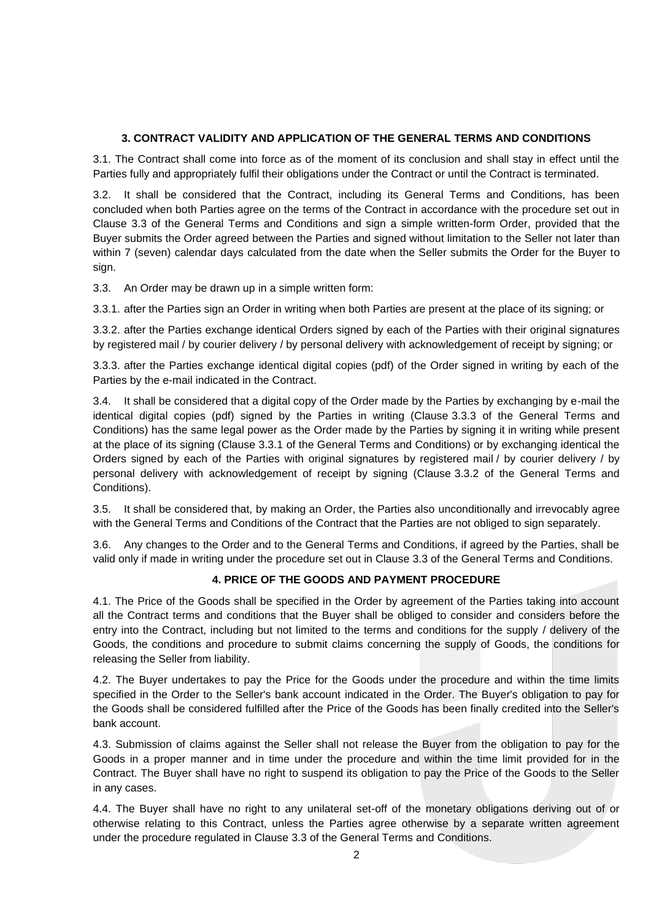## **3. CONTRACT VALIDITY AND APPLICATION OF THE GENERAL TERMS AND CONDITIONS**

3.1. The Contract shall come into force as of the moment of its conclusion and shall stay in effect until the Parties fully and appropriately fulfil their obligations under the Contract or until the Contract is terminated.

3.2. It shall be considered that the Contract, including its General Terms and Conditions, has been concluded when both Parties agree on the terms of the Contract in accordance with the procedure set out in Clause 3.3 of the General Terms and Conditions and sign a simple written-form Order, provided that the Buyer submits the Order agreed between the Parties and signed without limitation to the Seller not later than within 7 (seven) calendar days calculated from the date when the Seller submits the Order for the Buyer to sign.

3.3. An Order may be drawn up in a simple written form:

3.3.1. after the Parties sign an Order in writing when both Parties are present at the place of its signing; or

3.3.2. after the Parties exchange identical Orders signed by each of the Parties with their original signatures by registered mail / by courier delivery / by personal delivery with acknowledgement of receipt by signing; or

3.3.3. after the Parties exchange identical digital copies (pdf) of the Order signed in writing by each of the Parties by the e-mail indicated in the Contract.

3.4. It shall be considered that a digital copy of the Order made by the Parties by exchanging by e-mail the identical digital copies (pdf) signed by the Parties in writing (Clause 3.3.3 of the General Terms and Conditions) has the same legal power as the Order made by the Parties by signing it in writing while present at the place of its signing (Clause 3.3.1 of the General Terms and Conditions) or by exchanging identical the Orders signed by each of the Parties with original signatures by registered mail / by courier delivery / by personal delivery with acknowledgement of receipt by signing (Clause 3.3.2 of the General Terms and Conditions).

3.5. It shall be considered that, by making an Order, the Parties also unconditionally and irrevocably agree with the General Terms and Conditions of the Contract that the Parties are not obliged to sign separately.

3.6. Any changes to the Order and to the General Terms and Conditions, if agreed by the Parties, shall be valid only if made in writing under the procedure set out in Clause 3.3 of the General Terms and Conditions.

### **4. PRICE OF THE GOODS AND PAYMENT PROCEDURE**

4.1. The Price of the Goods shall be specified in the Order by agreement of the Parties taking into account all the Contract terms and conditions that the Buyer shall be obliged to consider and considers before the entry into the Contract, including but not limited to the terms and conditions for the supply / delivery of the Goods, the conditions and procedure to submit claims concerning the supply of Goods, the conditions for releasing the Seller from liability.

4.2. The Buyer undertakes to pay the Price for the Goods under the procedure and within the time limits specified in the Order to the Seller's bank account indicated in the Order. The Buyer's obligation to pay for the Goods shall be considered fulfilled after the Price of the Goods has been finally credited into the Seller's bank account.

4.3. Submission of claims against the Seller shall not release the Buyer from the obligation to pay for the Goods in a proper manner and in time under the procedure and within the time limit provided for in the Contract. The Buyer shall have no right to suspend its obligation to pay the Price of the Goods to the Seller in any cases.

4.4. The Buyer shall have no right to any unilateral set-off of the monetary obligations deriving out of or otherwise relating to this Contract, unless the Parties agree otherwise by a separate written agreement under the procedure regulated in Clause 3.3 of the General Terms and Conditions.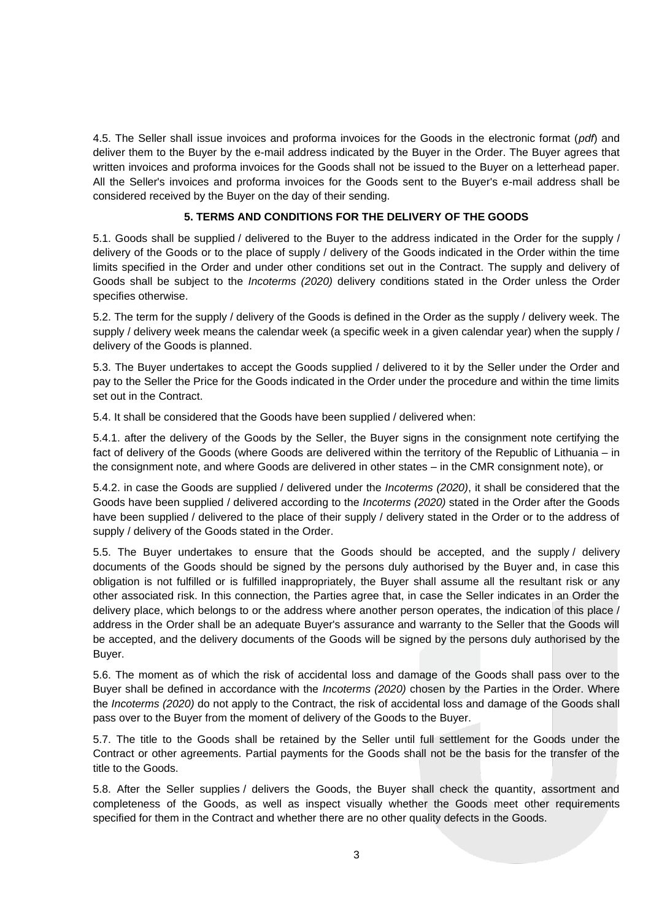4.5. The Seller shall issue invoices and proforma invoices for the Goods in the electronic format (*pdf*) and deliver them to the Buyer by the e-mail address indicated by the Buyer in the Order. The Buyer agrees that written invoices and proforma invoices for the Goods shall not be issued to the Buyer on a letterhead paper. All the Seller's invoices and proforma invoices for the Goods sent to the Buyer's e-mail address shall be considered received by the Buyer on the day of their sending.

### **5. TERMS AND CONDITIONS FOR THE DELIVERY OF THE GOODS**

5.1. Goods shall be supplied / delivered to the Buyer to the address indicated in the Order for the supply / delivery of the Goods or to the place of supply / delivery of the Goods indicated in the Order within the time limits specified in the Order and under other conditions set out in the Contract. The supply and delivery of Goods shall be subject to the *Incoterms (2020)* delivery conditions stated in the Order unless the Order specifies otherwise.

5.2. The term for the supply / delivery of the Goods is defined in the Order as the supply / delivery week. The supply / delivery week means the calendar week (a specific week in a given calendar year) when the supply / delivery of the Goods is planned.

5.3. The Buyer undertakes to accept the Goods supplied / delivered to it by the Seller under the Order and pay to the Seller the Price for the Goods indicated in the Order under the procedure and within the time limits set out in the Contract.

5.4. It shall be considered that the Goods have been supplied / delivered when:

5.4.1. after the delivery of the Goods by the Seller, the Buyer signs in the consignment note certifying the fact of delivery of the Goods (where Goods are delivered within the territory of the Republic of Lithuania – in the consignment note, and where Goods are delivered in other states – in the CMR consignment note), or

5.4.2. in case the Goods are supplied / delivered under the *Incoterms (2020)*, it shall be considered that the Goods have been supplied / delivered according to the *Incoterms (2020)* stated in the Order after the Goods have been supplied / delivered to the place of their supply / delivery stated in the Order or to the address of supply / delivery of the Goods stated in the Order.

5.5. The Buyer undertakes to ensure that the Goods should be accepted, and the supply / delivery documents of the Goods should be signed by the persons duly authorised by the Buyer and, in case this obligation is not fulfilled or is fulfilled inappropriately, the Buyer shall assume all the resultant risk or any other associated risk. In this connection, the Parties agree that, in case the Seller indicates in an Order the delivery place, which belongs to or the address where another person operates, the indication of this place / address in the Order shall be an adequate Buyer's assurance and warranty to the Seller that the Goods will be accepted, and the delivery documents of the Goods will be signed by the persons duly authorised by the Buyer.

5.6. The moment as of which the risk of accidental loss and damage of the Goods shall pass over to the Buyer shall be defined in accordance with the *Incoterms (2020)* chosen by the Parties in the Order. Where the *Incoterms (2020)* do not apply to the Contract, the risk of accidental loss and damage of the Goods shall pass over to the Buyer from the moment of delivery of the Goods to the Buyer.

5.7. The title to the Goods shall be retained by the Seller until full settlement for the Goods under the Contract or other agreements. Partial payments for the Goods shall not be the basis for the transfer of the title to the Goods.

5.8. After the Seller supplies / delivers the Goods, the Buyer shall check the quantity, assortment and completeness of the Goods, as well as inspect visually whether the Goods meet other requirements specified for them in the Contract and whether there are no other quality defects in the Goods.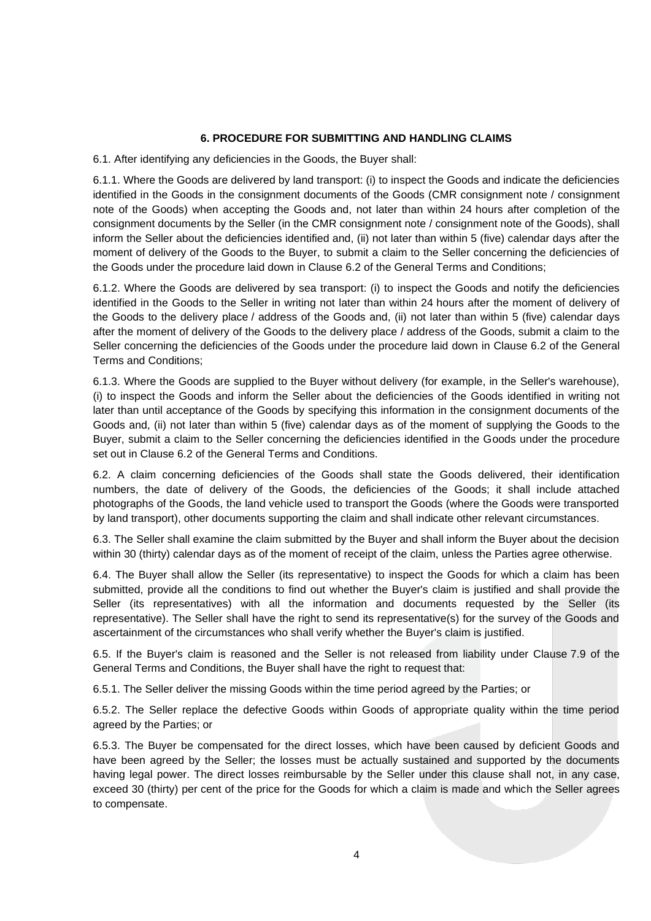#### **6. PROCEDURE FOR SUBMITTING AND HANDLING CLAIMS**

6.1. After identifying any deficiencies in the Goods, the Buyer shall:

6.1.1. Where the Goods are delivered by land transport: (i) to inspect the Goods and indicate the deficiencies identified in the Goods in the consignment documents of the Goods (CMR consignment note / consignment note of the Goods) when accepting the Goods and, not later than within 24 hours after completion of the consignment documents by the Seller (in the CMR consignment note / consignment note of the Goods), shall inform the Seller about the deficiencies identified and, (ii) not later than within 5 (five) calendar days after the moment of delivery of the Goods to the Buyer, to submit a claim to the Seller concerning the deficiencies of the Goods under the procedure laid down in Clause 6.2 of the General Terms and Conditions;

6.1.2. Where the Goods are delivered by sea transport: (i) to inspect the Goods and notify the deficiencies identified in the Goods to the Seller in writing not later than within 24 hours after the moment of delivery of the Goods to the delivery place / address of the Goods and, (ii) not later than within 5 (five) calendar days after the moment of delivery of the Goods to the delivery place / address of the Goods, submit a claim to the Seller concerning the deficiencies of the Goods under the procedure laid down in Clause 6.2 of the General Terms and Conditions;

6.1.3. Where the Goods are supplied to the Buyer without delivery (for example, in the Seller's warehouse), (i) to inspect the Goods and inform the Seller about the deficiencies of the Goods identified in writing not later than until acceptance of the Goods by specifying this information in the consignment documents of the Goods and, (ii) not later than within 5 (five) calendar days as of the moment of supplying the Goods to the Buyer, submit a claim to the Seller concerning the deficiencies identified in the Goods under the procedure set out in Clause 6.2 of the General Terms and Conditions.

6.2. A claim concerning deficiencies of the Goods shall state the Goods delivered, their identification numbers, the date of delivery of the Goods, the deficiencies of the Goods; it shall include attached photographs of the Goods, the land vehicle used to transport the Goods (where the Goods were transported by land transport), other documents supporting the claim and shall indicate other relevant circumstances.

6.3. The Seller shall examine the claim submitted by the Buyer and shall inform the Buyer about the decision within 30 (thirty) calendar days as of the moment of receipt of the claim, unless the Parties agree otherwise.

6.4. The Buyer shall allow the Seller (its representative) to inspect the Goods for which a claim has been submitted, provide all the conditions to find out whether the Buyer's claim is justified and shall provide the Seller (its representatives) with all the information and documents requested by the Seller (its representative). The Seller shall have the right to send its representative(s) for the survey of the Goods and ascertainment of the circumstances who shall verify whether the Buyer's claim is justified.

6.5. If the Buyer's claim is reasoned and the Seller is not released from liability under Clause 7.9 of the General Terms and Conditions, the Buyer shall have the right to request that:

6.5.1. The Seller deliver the missing Goods within the time period agreed by the Parties; or

6.5.2. The Seller replace the defective Goods within Goods of appropriate quality within the time period agreed by the Parties; or

6.5.3. The Buyer be compensated for the direct losses, which have been caused by deficient Goods and have been agreed by the Seller; the losses must be actually sustained and supported by the documents having legal power. The direct losses reimbursable by the Seller under this clause shall not, in any case, exceed 30 (thirty) per cent of the price for the Goods for which a claim is made and which the Seller agrees to compensate.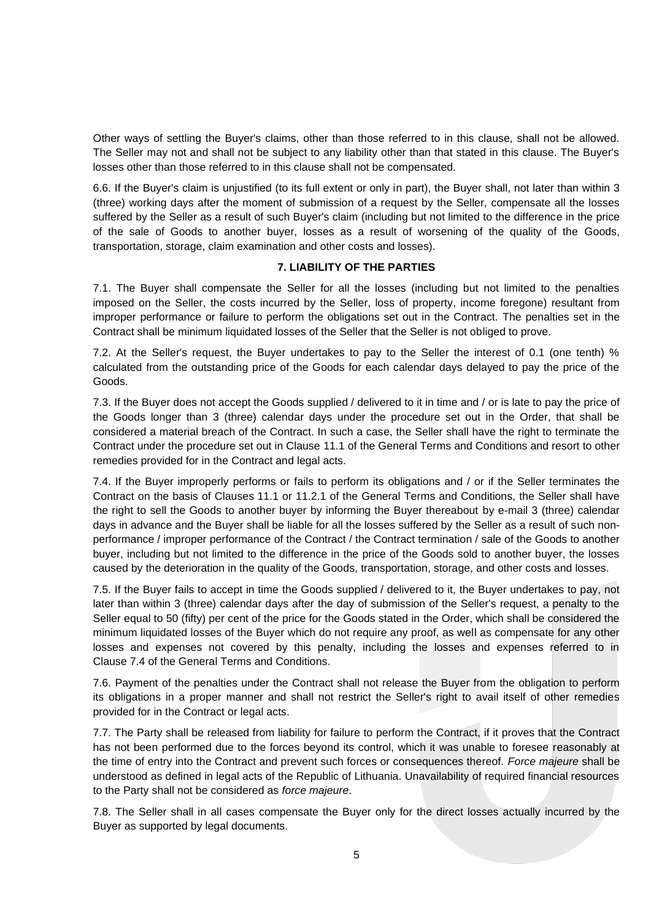Other ways of settling the Buyer's claims, other than those referred to in this clause, shall not be allowed. The Seller may not and shall not be subject to any liability other than that stated in this clause. The Buyer's losses other than those referred to in this clause shall not be compensated.

6.6. If the Buyer's claim is unjustified (to its full extent or only in part), the Buyer shall, not later than within 3 (three) working days after the moment of submission of a request by the Seller, compensate all the losses suffered by the Seller as a result of such Buyer's claim (including but not limited to the difference in the price of the sale of Goods to another buyer, losses as a result of worsening of the quality of the Goods, transportation, storage, claim examination and other costs and losses).

#### **7. LIABILITY OF THE PARTIES**

7.1. The Buyer shall compensate the Seller for all the losses (including but not limited to the penalties imposed on the Seller, the costs incurred by the Seller, loss of property, income foregone) resultant from improper performance or failure to perform the obligations set out in the Contract. The penalties set in the Contract shall be minimum liquidated losses of the Seller that the Seller is not obliged to prove.

7.2. At the Seller's request, the Buyer undertakes to pay to the Seller the interest of 0.1 (one tenth) % calculated from the outstanding price of the Goods for each calendar days delayed to pay the price of the Goods.

7.3. If the Buyer does not accept the Goods supplied / delivered to it in time and / or is late to pay the price of the Goods longer than 3 (three) calendar days under the procedure set out in the Order, that shall be considered a material breach of the Contract. In such a case, the Seller shall have the right to terminate the Contract under the procedure set out in Clause 11.1 of the General Terms and Conditions and resort to other remedies provided for in the Contract and legal acts.

7.4. If the Buyer improperly performs or fails to perform its obligations and / or if the Seller terminates the Contract on the basis of Clauses 11.1 or 11.2.1 of the General Terms and Conditions, the Seller shall have the right to sell the Goods to another buyer by informing the Buyer thereabout by e-mail 3 (three) calendar days in advance and the Buyer shall be liable for all the losses suffered by the Seller as a result of such nonperformance / improper performance of the Contract / the Contract termination / sale of the Goods to another buyer, including but not limited to the difference in the price of the Goods sold to another buyer, the losses caused by the deterioration in the quality of the Goods, transportation, storage, and other costs and losses.

7.5. If the Buyer fails to accept in time the Goods supplied / delivered to it, the Buyer undertakes to pay, not later than within 3 (three) calendar days after the day of submission of the Seller's request, a penalty to the Seller equal to 50 (fifty) per cent of the price for the Goods stated in the Order, which shall be considered the minimum liquidated losses of the Buyer which do not require any proof, as well as compensate for any other losses and expenses not covered by this penalty, including the losses and expenses referred to in Clause 7.4 of the General Terms and Conditions.

7.6. Payment of the penalties under the Contract shall not release the Buyer from the obligation to perform its obligations in a proper manner and shall not restrict the Seller's right to avail itself of other remedies provided for in the Contract or legal acts.

7.7. The Party shall be released from liability for failure to perform the Contract, if it proves that the Contract has not been performed due to the forces beyond its control, which it was unable to foresee reasonably at the time of entry into the Contract and prevent such forces or consequences thereof. *Force majeure* shall be understood as defined in legal acts of the Republic of Lithuania. Unavailability of required financial resources to the Party shall not be considered as *force majeure*.

7.8. The Seller shall in all cases compensate the Buyer only for the direct losses actually incurred by the Buyer as supported by legal documents.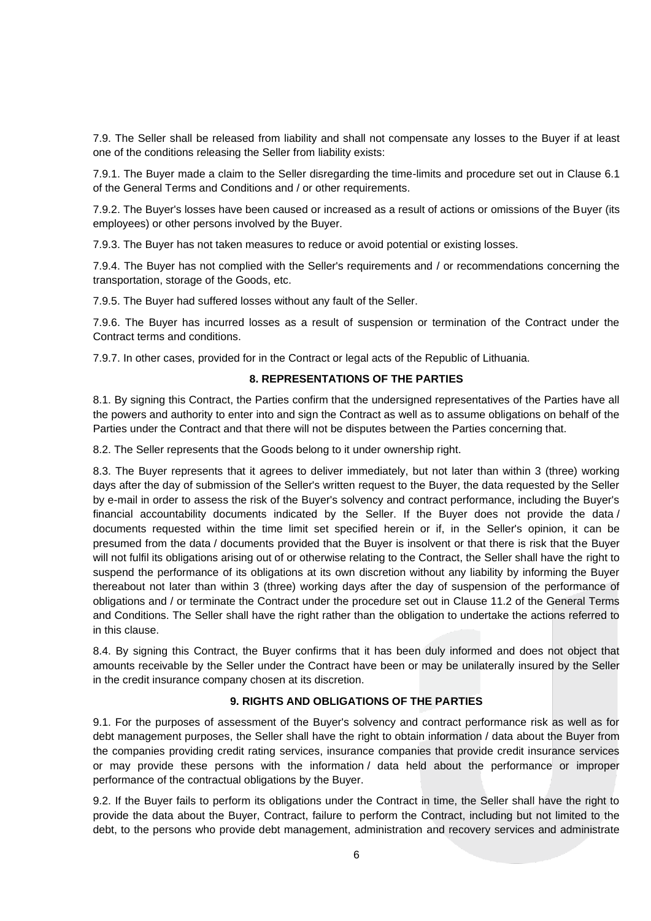7.9. The Seller shall be released from liability and shall not compensate any losses to the Buyer if at least one of the conditions releasing the Seller from liability exists:

7.9.1. The Buyer made a claim to the Seller disregarding the time-limits and procedure set out in Clause 6.1 of the General Terms and Conditions and / or other requirements.

7.9.2. The Buyer's losses have been caused or increased as a result of actions or omissions of the Buyer (its employees) or other persons involved by the Buyer.

7.9.3. The Buyer has not taken measures to reduce or avoid potential or existing losses.

7.9.4. The Buyer has not complied with the Seller's requirements and / or recommendations concerning the transportation, storage of the Goods, etc.

7.9.5. The Buyer had suffered losses without any fault of the Seller.

7.9.6. The Buyer has incurred losses as a result of suspension or termination of the Contract under the Contract terms and conditions.

7.9.7. In other cases, provided for in the Contract or legal acts of the Republic of Lithuania.

#### **8. REPRESENTATIONS OF THE PARTIES**

8.1. By signing this Contract, the Parties confirm that the undersigned representatives of the Parties have all the powers and authority to enter into and sign the Contract as well as to assume obligations on behalf of the Parties under the Contract and that there will not be disputes between the Parties concerning that.

8.2. The Seller represents that the Goods belong to it under ownership right.

8.3. The Buyer represents that it agrees to deliver immediately, but not later than within 3 (three) working days after the day of submission of the Seller's written request to the Buyer, the data requested by the Seller by e-mail in order to assess the risk of the Buyer's solvency and contract performance, including the Buyer's financial accountability documents indicated by the Seller. If the Buyer does not provide the data / documents requested within the time limit set specified herein or if, in the Seller's opinion, it can be presumed from the data / documents provided that the Buyer is insolvent or that there is risk that the Buyer will not fulfil its obligations arising out of or otherwise relating to the Contract, the Seller shall have the right to suspend the performance of its obligations at its own discretion without any liability by informing the Buyer thereabout not later than within 3 (three) working days after the day of suspension of the performance of obligations and / or terminate the Contract under the procedure set out in Clause 11.2 of the General Terms and Conditions. The Seller shall have the right rather than the obligation to undertake the actions referred to in this clause.

8.4. By signing this Contract, the Buyer confirms that it has been duly informed and does not object that amounts receivable by the Seller under the Contract have been or may be unilaterally insured by the Seller in the credit insurance company chosen at its discretion.

#### **9. RIGHTS AND OBLIGATIONS OF THE PARTIES**

9.1. For the purposes of assessment of the Buyer's solvency and contract performance risk as well as for debt management purposes, the Seller shall have the right to obtain information / data about the Buyer from the companies providing credit rating services, insurance companies that provide credit insurance services or may provide these persons with the information / data held about the performance or improper performance of the contractual obligations by the Buyer.

9.2. If the Buyer fails to perform its obligations under the Contract in time, the Seller shall have the right to provide the data about the Buyer, Contract, failure to perform the Contract, including but not limited to the debt, to the persons who provide debt management, administration and recovery services and administrate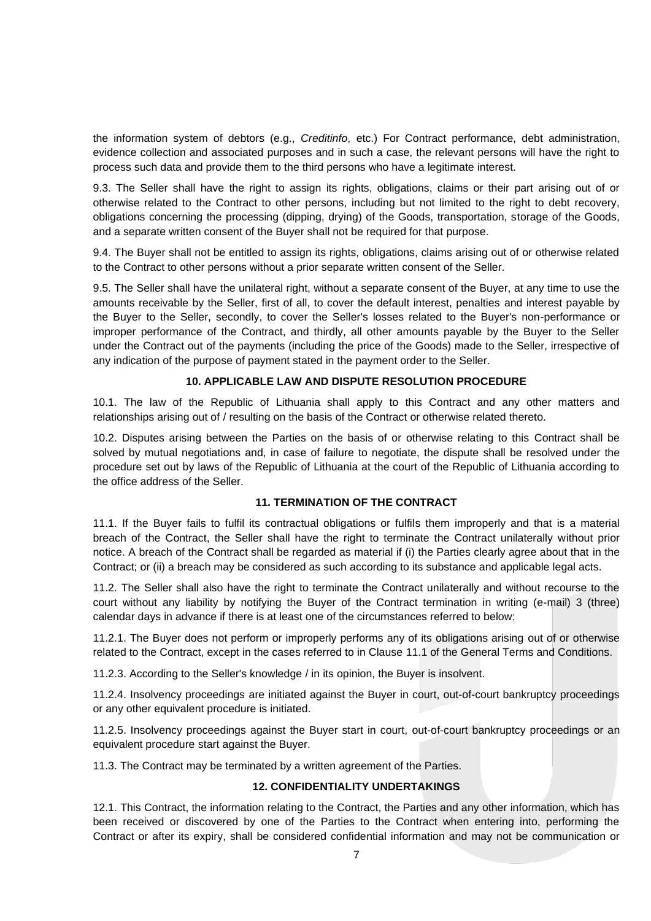the information system of debtors (e.g., *Creditinfo*, etc.) For Contract performance, debt administration, evidence collection and associated purposes and in such a case, the relevant persons will have the right to process such data and provide them to the third persons who have a legitimate interest.

9.3. The Seller shall have the right to assign its rights, obligations, claims or their part arising out of or otherwise related to the Contract to other persons, including but not limited to the right to debt recovery, obligations concerning the processing (dipping, drying) of the Goods, transportation, storage of the Goods, and a separate written consent of the Buyer shall not be required for that purpose.

9.4. The Buyer shall not be entitled to assign its rights, obligations, claims arising out of or otherwise related to the Contract to other persons without a prior separate written consent of the Seller.

9.5. The Seller shall have the unilateral right, without a separate consent of the Buyer, at any time to use the amounts receivable by the Seller, first of all, to cover the default interest, penalties and interest payable by the Buyer to the Seller, secondly, to cover the Seller's losses related to the Buyer's non-performance or improper performance of the Contract, and thirdly, all other amounts payable by the Buyer to the Seller under the Contract out of the payments (including the price of the Goods) made to the Seller, irrespective of any indication of the purpose of payment stated in the payment order to the Seller.

#### **10. APPLICABLE LAW AND DISPUTE RESOLUTION PROCEDURE**

10.1. The law of the Republic of Lithuania shall apply to this Contract and any other matters and relationships arising out of / resulting on the basis of the Contract or otherwise related thereto.

10.2. Disputes arising between the Parties on the basis of or otherwise relating to this Contract shall be solved by mutual negotiations and, in case of failure to negotiate, the dispute shall be resolved under the procedure set out by laws of the Republic of Lithuania at the court of the Republic of Lithuania according to the office address of the Seller.

#### **11. TERMINATION OF THE CONTRACT**

11.1. If the Buyer fails to fulfil its contractual obligations or fulfils them improperly and that is a material breach of the Contract, the Seller shall have the right to terminate the Contract unilaterally without prior notice. A breach of the Contract shall be regarded as material if (i) the Parties clearly agree about that in the Contract; or (ii) a breach may be considered as such according to its substance and applicable legal acts.

11.2. The Seller shall also have the right to terminate the Contract unilaterally and without recourse to the court without any liability by notifying the Buyer of the Contract termination in writing (e-mail) 3 (three) calendar days in advance if there is at least one of the circumstances referred to below:

11.2.1. The Buyer does not perform or improperly performs any of its obligations arising out of or otherwise related to the Contract, except in the cases referred to in Clause 11.1 of the General Terms and Conditions.

11.2.3. According to the Seller's knowledge / in its opinion, the Buyer is insolvent.

11.2.4. Insolvency proceedings are initiated against the Buyer in court, out-of-court bankruptcy proceedings or any other equivalent procedure is initiated.

11.2.5. Insolvency proceedings against the Buyer start in court, out-of-court bankruptcy proceedings or an equivalent procedure start against the Buyer.

11.3. The Contract may be terminated by a written agreement of the Parties.

#### **12. CONFIDENTIALITY UNDERTAKINGS**

12.1. This Contract, the information relating to the Contract, the Parties and any other information, which has been received or discovered by one of the Parties to the Contract when entering into, performing the Contract or after its expiry, shall be considered confidential information and may not be communication or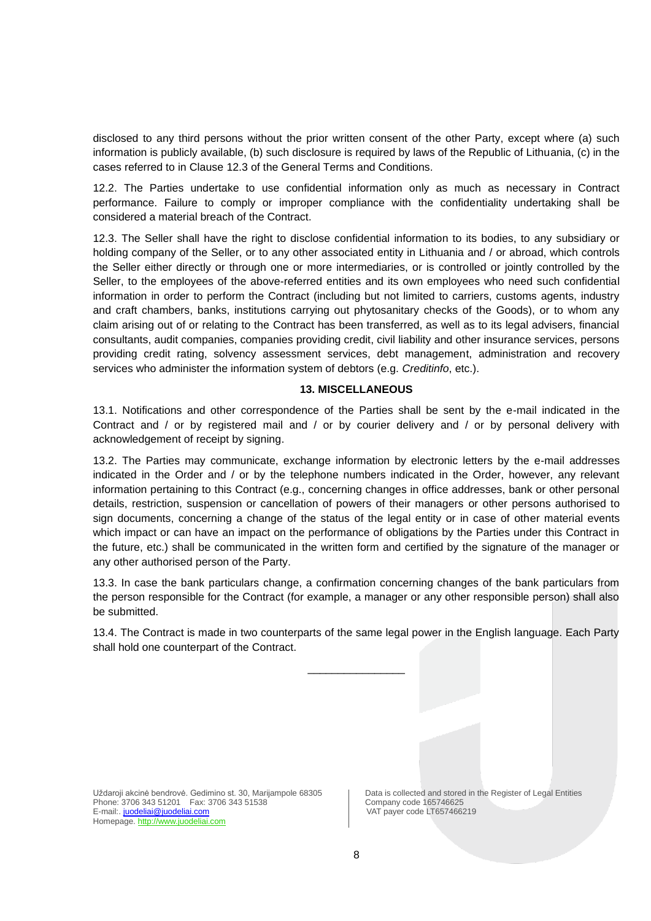disclosed to any third persons without the prior written consent of the other Party, except where (a) such information is publicly available, (b) such disclosure is required by laws of the Republic of Lithuania, (c) in the cases referred to in Clause 12.3 of the General Terms and Conditions.

12.2. The Parties undertake to use confidential information only as much as necessary in Contract performance. Failure to comply or improper compliance with the confidentiality undertaking shall be considered a material breach of the Contract.

12.3. The Seller shall have the right to disclose confidential information to its bodies, to any subsidiary or holding company of the Seller, or to any other associated entity in Lithuania and / or abroad, which controls the Seller either directly or through one or more intermediaries, or is controlled or jointly controlled by the Seller, to the employees of the above-referred entities and its own employees who need such confidential information in order to perform the Contract (including but not limited to carriers, customs agents, industry and craft chambers, banks, institutions carrying out phytosanitary checks of the Goods), or to whom any claim arising out of or relating to the Contract has been transferred, as well as to its legal advisers, financial consultants, audit companies, companies providing credit, civil liability and other insurance services, persons providing credit rating, solvency assessment services, debt management, administration and recovery services who administer the information system of debtors (e.g. *Creditinfo*, etc.).

### **13. MISCELLANEOUS**

13.1. Notifications and other correspondence of the Parties shall be sent by the e-mail indicated in the Contract and / or by registered mail and / or by courier delivery and / or by personal delivery with acknowledgement of receipt by signing.

13.2. The Parties may communicate, exchange information by electronic letters by the e-mail addresses indicated in the Order and / or by the telephone numbers indicated in the Order, however, any relevant information pertaining to this Contract (e.g., concerning changes in office addresses, bank or other personal details, restriction, suspension or cancellation of powers of their managers or other persons authorised to sign documents, concerning a change of the status of the legal entity or in case of other material events which impact or can have an impact on the performance of obligations by the Parties under this Contract in the future, etc.) shall be communicated in the written form and certified by the signature of the manager or any other authorised person of the Party.

13.3. In case the bank particulars change, a confirmation concerning changes of the bank particulars from the person responsible for the Contract (for example, a manager or any other responsible person) shall also be submitted.

13.4. The Contract is made in two counterparts of the same legal power in the English language. Each Party shall hold one counterpart of the Contract.

\_\_\_\_\_\_\_\_\_\_\_\_\_\_\_\_

Uždaroji akcinė bendrovė. Gedimino st. 30, Marijampole 68305 <br>Phone: 3706 343 51201 Fax: 3706 343 51538 <br>Company code 165746625 Phone: 3706 343 51201 Fax: 3706 343 51538<br>
E-mail:. juodeliai@juodeliai.com Company code LT657466219 E-mail:. [juodeliai@juodeliai.c](mailto:juodeliai@juodeliai.)om Homepage. http://www.juodeliai.com